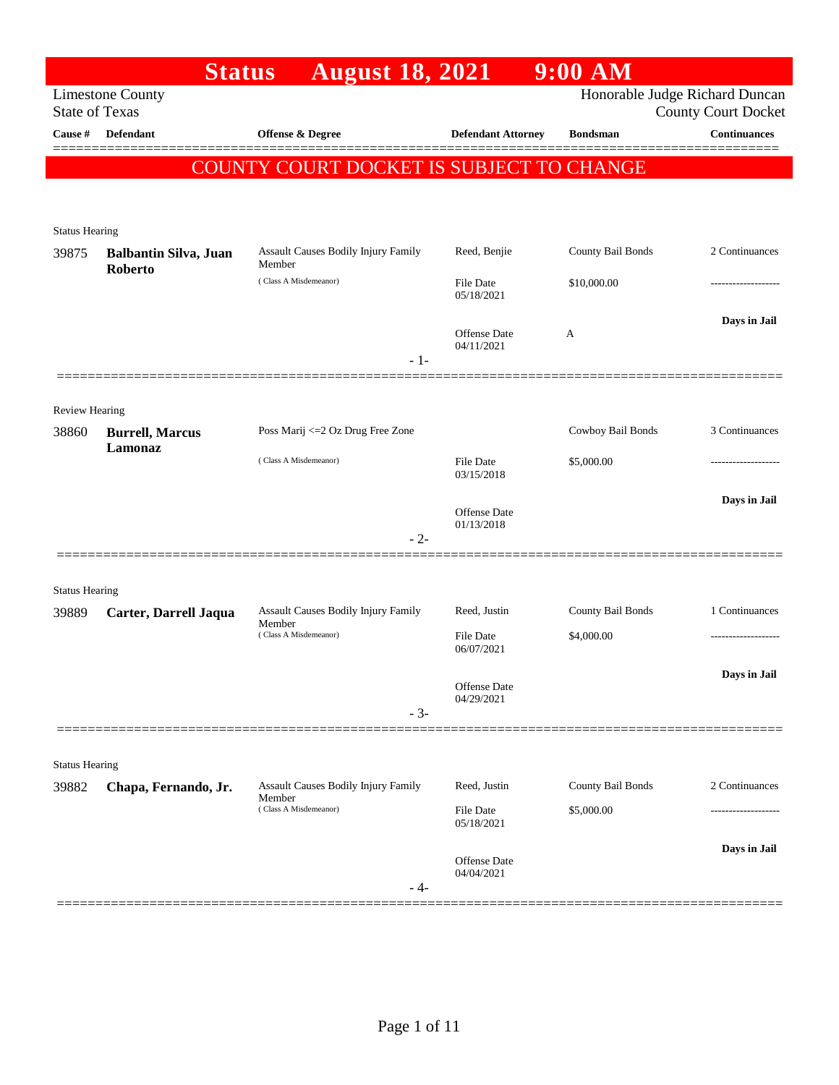| <b>Limestone County</b>                       |                                                            |                                  |                                                                    | <b>County Court Docket</b>                                                              |
|-----------------------------------------------|------------------------------------------------------------|----------------------------------|--------------------------------------------------------------------|-----------------------------------------------------------------------------------------|
| <b>Defendant</b>                              | Offense & Degree                                           | <b>Defendant Attorney</b>        | <b>Bondsman</b>                                                    | <b>Continuances</b>                                                                     |
|                                               |                                                            |                                  |                                                                    |                                                                                         |
|                                               |                                                            |                                  |                                                                    |                                                                                         |
| <b>Status Hearing</b>                         |                                                            |                                  |                                                                    |                                                                                         |
| <b>Balbantin Silva, Juan</b>                  | <b>Assault Causes Bodily Injury Family</b><br>Member       | Reed, Benjie                     | County Bail Bonds                                                  | 2 Continuances                                                                          |
|                                               | (Class A Misdemeanor)                                      | File Date<br>05/18/2021          | \$10,000.00                                                        |                                                                                         |
|                                               |                                                            |                                  | A                                                                  | Days in Jail                                                                            |
|                                               | $-1-$                                                      | 04/11/2021                       |                                                                    |                                                                                         |
|                                               |                                                            |                                  |                                                                    |                                                                                         |
| <b>Review Hearing</b>                         | Poss Marij <= 2 Oz Drug Free Zone                          |                                  | Cowboy Bail Bonds                                                  | 3 Continuances                                                                          |
| Lamonaz                                       | (Class A Misdemeanor)                                      | File Date                        | \$5,000.00                                                         | --------------                                                                          |
|                                               |                                                            |                                  |                                                                    | Days in Jail                                                                            |
|                                               |                                                            | Offense Date<br>01/13/2018       |                                                                    |                                                                                         |
|                                               |                                                            |                                  |                                                                    |                                                                                         |
| <b>Status Hearing</b>                         |                                                            |                                  |                                                                    |                                                                                         |
| Carter, Darrell Jaqua                         | Assault Causes Bodily Injury Family<br>Member              | Reed, Justin                     | County Bail Bonds                                                  | 1 Continuances                                                                          |
|                                               | (Class A Misdemeanor)                                      | File Date<br>06/07/2021          | \$4,000.00                                                         |                                                                                         |
|                                               |                                                            | Offense Date                     |                                                                    | Days in Jail                                                                            |
|                                               | $-3-$                                                      |                                  |                                                                    |                                                                                         |
|                                               |                                                            |                                  |                                                                    |                                                                                         |
| <b>Status Hearing</b><br>Chapa, Fernando, Jr. | <b>Assault Causes Bodily Injury Family</b>                 | Reed, Justin                     | County Bail Bonds                                                  | 2 Continuances                                                                          |
|                                               | (Class A Misdemeanor)                                      | File Date<br>05/18/2021          | \$5,000.00                                                         |                                                                                         |
|                                               |                                                            |                                  |                                                                    |                                                                                         |
|                                               |                                                            | Offense Date                     |                                                                    | Days in Jail                                                                            |
|                                               | <b>State of Texas</b><br>Roberto<br><b>Burrell, Marcus</b> | <b>Status</b><br>$-2-$<br>Member | <b>August 18, 2021</b><br>Offense Date<br>03/15/2018<br>04/29/2021 | $9:00$ AM<br>Honorable Judge Richard Duncan<br>COUNTY COURT DOCKET IS SUBJECT TO CHANGE |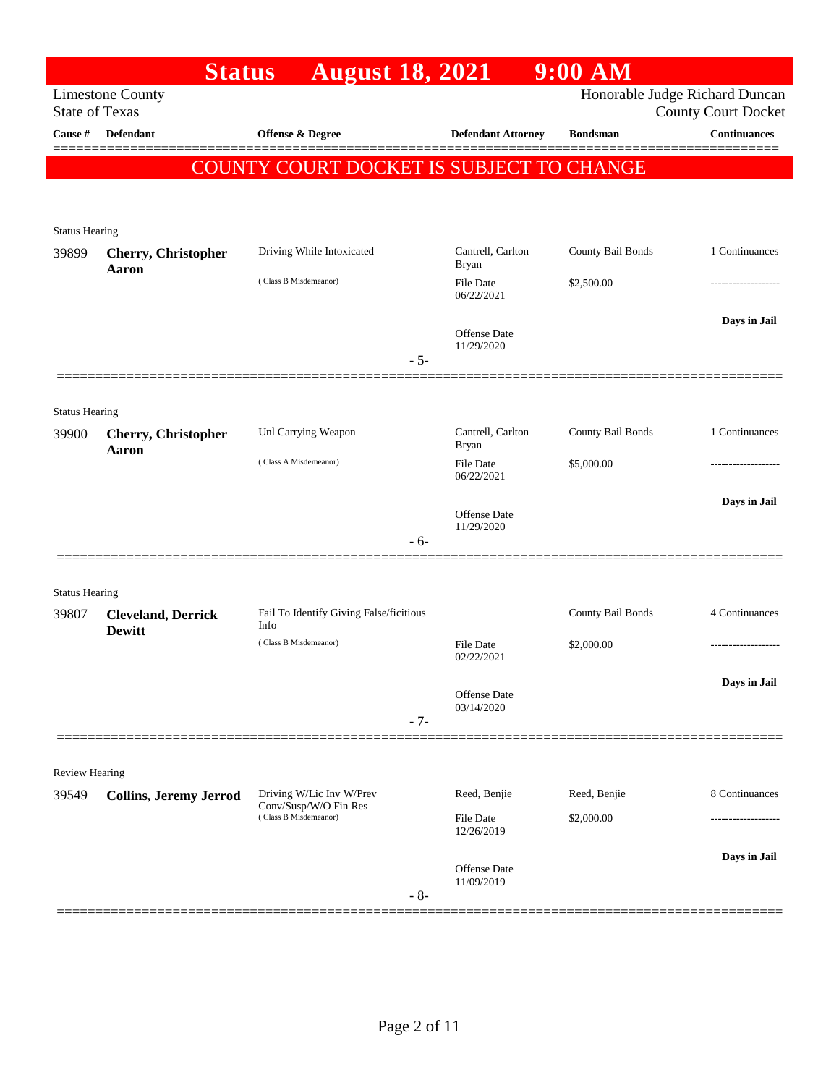|                                  | <b>Status</b>                              | <b>August 18, 2021</b>                          |       |                                   | $9:00$ AM         |                                                   |
|----------------------------------|--------------------------------------------|-------------------------------------------------|-------|-----------------------------------|-------------------|---------------------------------------------------|
|                                  | <b>Limestone County</b>                    |                                                 |       |                                   |                   | Honorable Judge Richard Duncan                    |
| <b>State of Texas</b><br>Cause # | Defendant                                  | Offense & Degree                                |       | <b>Defendant Attorney</b>         | <b>Bondsman</b>   | <b>County Court Docket</b><br><b>Continuances</b> |
|                                  |                                            |                                                 |       |                                   |                   |                                                   |
|                                  |                                            | <b>COUNTY COURT DOCKET IS SUBJECT TO CHANGE</b> |       |                                   |                   |                                                   |
|                                  |                                            |                                                 |       |                                   |                   |                                                   |
| <b>Status Hearing</b>            |                                            |                                                 |       |                                   |                   |                                                   |
| 39899                            | <b>Cherry, Christopher</b><br>Aaron        | Driving While Intoxicated                       |       | Cantrell, Carlton<br><b>Bryan</b> | County Bail Bonds | 1 Continuances                                    |
|                                  |                                            | (Class B Misdemeanor)                           |       | File Date<br>06/22/2021           | \$2,500.00        |                                                   |
|                                  |                                            |                                                 |       | Offense Date<br>11/29/2020        |                   | Days in Jail                                      |
|                                  |                                            |                                                 | $-5-$ |                                   |                   |                                                   |
|                                  |                                            |                                                 |       |                                   |                   |                                                   |
| <b>Status Hearing</b><br>39900   | <b>Cherry, Christopher</b>                 | Unl Carrying Weapon                             |       | Cantrell, Carlton<br><b>Bryan</b> | County Bail Bonds | 1 Continuances                                    |
|                                  | Aaron                                      | (Class A Misdemeanor)                           |       | File Date<br>06/22/2021           | \$5,000.00        |                                                   |
|                                  |                                            |                                                 |       | Offense Date<br>11/29/2020        |                   | Days in Jail                                      |
|                                  |                                            |                                                 | - 6-  |                                   |                   |                                                   |
|                                  |                                            |                                                 |       |                                   |                   |                                                   |
| <b>Status Hearing</b>            |                                            |                                                 |       |                                   |                   |                                                   |
| 39807                            | <b>Cleveland, Derrick</b><br><b>Dewitt</b> | Fail To Identify Giving False/ficitious<br>Info |       |                                   | County Bail Bonds | 4 Continuances                                    |
|                                  |                                            | (Class B Misdemeanor)                           |       | File Date<br>02/22/2021           | \$2,000.00        | -----------------                                 |
|                                  |                                            |                                                 |       |                                   |                   | Days in Jail                                      |
|                                  |                                            |                                                 |       | Offense Date<br>03/14/2020        |                   |                                                   |
|                                  |                                            |                                                 | $-7-$ |                                   |                   |                                                   |
|                                  |                                            |                                                 |       |                                   |                   |                                                   |
| <b>Review Hearing</b>            |                                            | Driving W/Lic Inv W/Prev                        |       | Reed, Benjie                      | Reed, Benjie      | 8 Continuances                                    |
| 39549                            | <b>Collins, Jeremy Jerrod</b>              | Conv/Susp/W/O Fin Res<br>(Class B Misdemeanor)  |       | File Date                         | \$2,000.00        |                                                   |
|                                  |                                            |                                                 |       | 12/26/2019                        |                   |                                                   |
|                                  |                                            |                                                 |       | Offense Date<br>11/09/2019        |                   | Days in Jail                                      |
|                                  |                                            |                                                 | $-8-$ |                                   |                   |                                                   |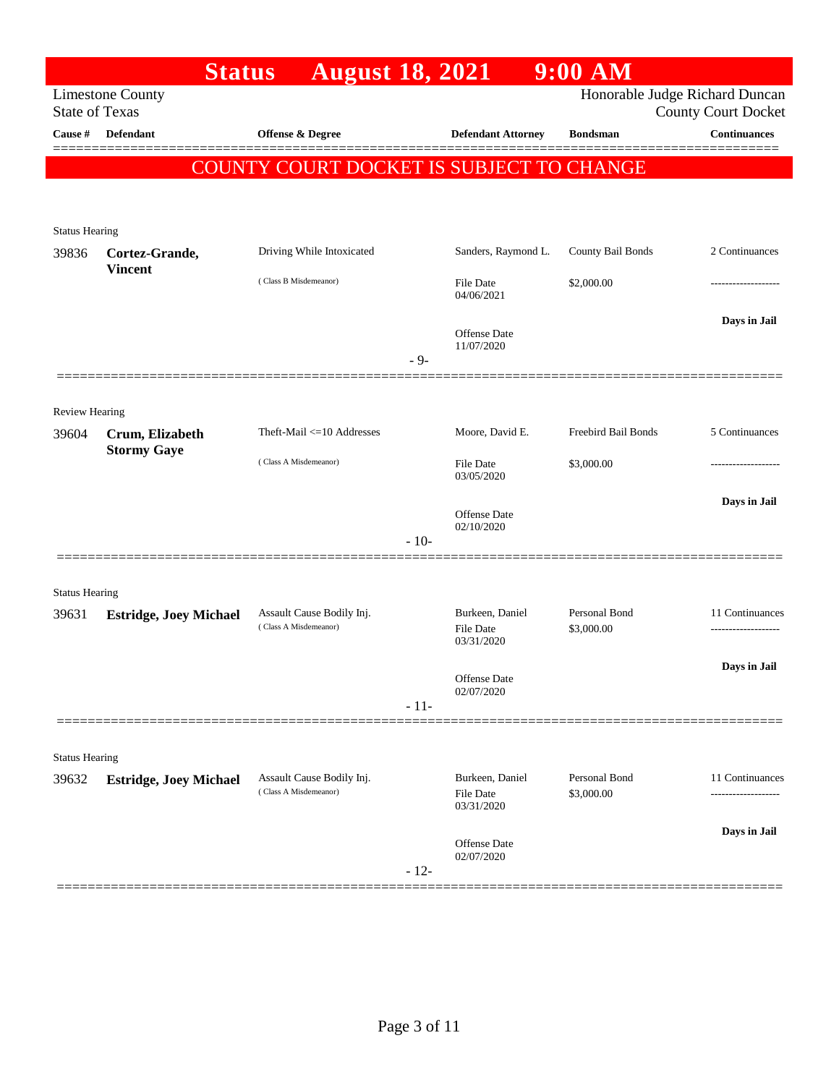|                       |                                  | <b>Status</b> | <b>August 18, 2021</b>                             |        |                                     | $9:00$ AM                                |                                                              |
|-----------------------|----------------------------------|---------------|----------------------------------------------------|--------|-------------------------------------|------------------------------------------|--------------------------------------------------------------|
| <b>State of Texas</b> | <b>Limestone County</b>          |               |                                                    |        |                                     |                                          | Honorable Judge Richard Duncan<br><b>County Court Docket</b> |
| Cause #               | <b>Defendant</b>                 |               | <b>Offense &amp; Degree</b>                        |        | <b>Defendant Attorney</b>           | <b>Bondsman</b>                          | <b>Continuances</b>                                          |
|                       |                                  |               |                                                    |        |                                     | COUNTY COURT DOCKET IS SUBJECT TO CHANGE |                                                              |
|                       |                                  |               |                                                    |        |                                     |                                          |                                                              |
|                       |                                  |               |                                                    |        |                                     |                                          |                                                              |
| <b>Status Hearing</b> |                                  |               |                                                    |        |                                     |                                          |                                                              |
| 39836                 | Cortez-Grande,<br><b>Vincent</b> |               | Driving While Intoxicated                          |        | Sanders, Raymond L.                 | County Bail Bonds                        | 2 Continuances                                               |
|                       |                                  |               | (Class B Misdemeanor)                              |        | <b>File Date</b><br>04/06/2021      | \$2,000.00                               | -----------------                                            |
|                       |                                  |               |                                                    |        | Offense Date                        |                                          | Days in Jail                                                 |
|                       |                                  |               |                                                    | $-9-$  | 11/07/2020                          |                                          |                                                              |
|                       |                                  |               |                                                    |        |                                     |                                          |                                                              |
| <b>Review Hearing</b> |                                  |               |                                                    |        |                                     |                                          |                                                              |
| 39604                 | Crum, Elizabeth                  |               | Theft-Mail <= 10 Addresses                         |        | Moore, David E.                     | Freebird Bail Bonds                      | 5 Continuances                                               |
|                       | <b>Stormy Gaye</b>               |               | (Class A Misdemeanor)                              |        | <b>File Date</b>                    | \$3,000.00                               | .                                                            |
|                       |                                  |               |                                                    |        | 03/05/2020                          |                                          |                                                              |
|                       |                                  |               |                                                    |        | Offense Date                        |                                          | Days in Jail                                                 |
|                       |                                  |               |                                                    | $-10-$ | 02/10/2020                          |                                          |                                                              |
|                       |                                  |               |                                                    |        |                                     |                                          |                                                              |
| <b>Status Hearing</b> |                                  |               |                                                    |        |                                     |                                          |                                                              |
| 39631                 | <b>Estridge, Joey Michael</b>    |               | Assault Cause Bodily Inj.<br>(Class A Misdemeanor) |        | Burkeen, Daniel<br><b>File Date</b> | Personal Bond<br>\$3,000.00              | 11 Continuances                                              |
|                       |                                  |               |                                                    |        | 03/31/2020                          |                                          |                                                              |
|                       |                                  |               |                                                    |        | Offense Date                        |                                          | Days in Jail                                                 |
|                       |                                  |               |                                                    | $-11-$ | 02/07/2020                          |                                          |                                                              |
|                       |                                  |               |                                                    |        |                                     |                                          |                                                              |
| <b>Status Hearing</b> |                                  |               |                                                    |        |                                     |                                          |                                                              |
| 39632                 | <b>Estridge, Joey Michael</b>    |               | Assault Cause Bodily Inj.<br>(Class A Misdemeanor) |        | Burkeen, Daniel                     | Personal Bond                            | 11 Continuances                                              |
|                       |                                  |               |                                                    |        | <b>File Date</b><br>03/31/2020      | \$3,000.00                               |                                                              |
|                       |                                  |               |                                                    |        | Offense Date                        |                                          | Days in Jail                                                 |
|                       |                                  |               |                                                    | $-12-$ | 02/07/2020                          |                                          |                                                              |
|                       |                                  |               |                                                    |        |                                     |                                          |                                                              |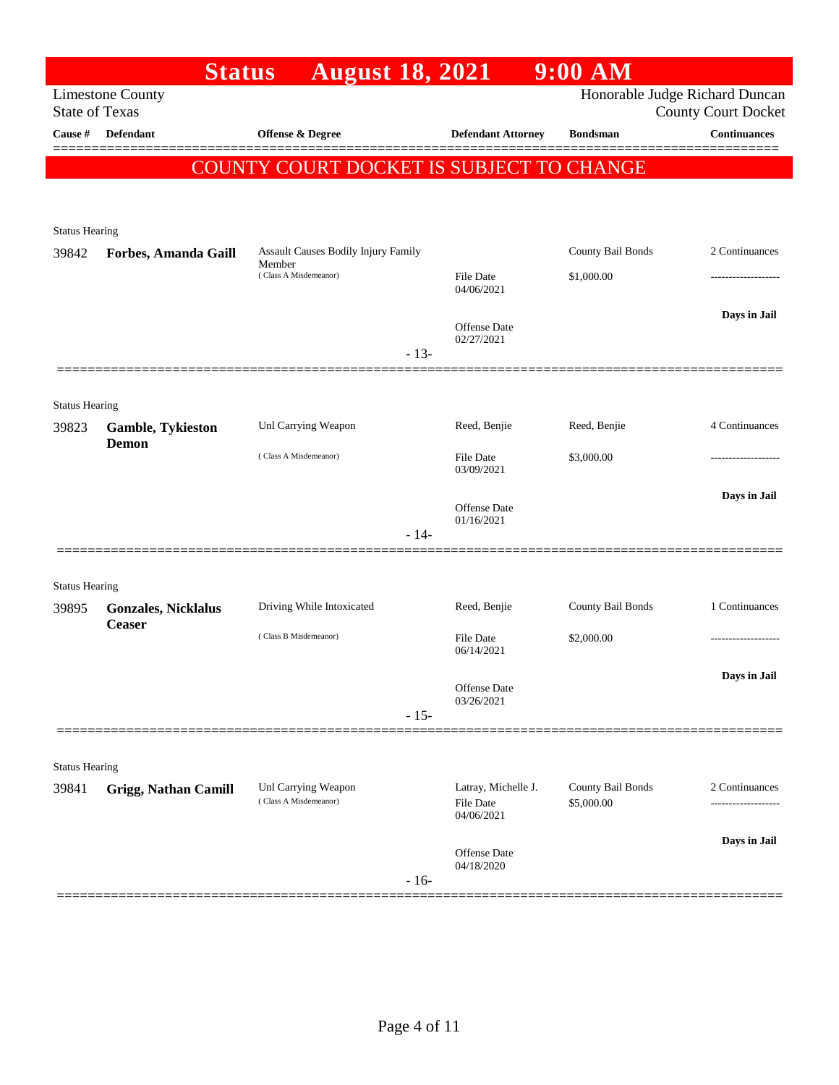| <b>August 18, 2021</b><br>Honorable Judge Richard Duncan<br><b>Limestone County</b><br><b>State of Texas</b><br><b>County Court Docket</b><br>Offense & Degree<br>Cause #<br><b>Defendant</b><br><b>Defendant Attorney</b><br><b>Bondsman</b><br>COUNTY COURT DOCKET IS SUBJECT TO CHANGE<br><b>Status Hearing</b><br>County Bail Bonds<br>Assault Causes Bodily Injury Family<br>39842<br>Forbes, Amanda Gaill<br>Member<br>(Class A Misdemeanor)<br>\$1,000.00<br><b>File Date</b><br>04/06/2021<br><b>Offense Date</b><br>02/27/2021<br>$-13-$<br><b>Status Hearing</b><br>Unl Carrying Weapon<br>Reed, Benjie<br>Reed, Benjie<br>39823<br><b>Gamble, Tykieston</b><br>Demon<br>(Class A Misdemeanor)<br><b>File Date</b><br>\$3,000.00<br>03/09/2021<br>Offense Date<br>01/16/2021<br>$-14-$<br><b>Status Hearing</b><br>Driving While Intoxicated<br>Reed, Benjie<br>County Bail Bonds<br>39895<br><b>Gonzales, Nicklalus</b><br><b>Ceaser</b><br>(Class B Misdemeanor)<br><b>File Date</b><br>\$2,000.00 | <b>Continuances</b><br>2 Continuances |
|----------------------------------------------------------------------------------------------------------------------------------------------------------------------------------------------------------------------------------------------------------------------------------------------------------------------------------------------------------------------------------------------------------------------------------------------------------------------------------------------------------------------------------------------------------------------------------------------------------------------------------------------------------------------------------------------------------------------------------------------------------------------------------------------------------------------------------------------------------------------------------------------------------------------------------------------------------------------------------------------------------------|---------------------------------------|
|                                                                                                                                                                                                                                                                                                                                                                                                                                                                                                                                                                                                                                                                                                                                                                                                                                                                                                                                                                                                                |                                       |
|                                                                                                                                                                                                                                                                                                                                                                                                                                                                                                                                                                                                                                                                                                                                                                                                                                                                                                                                                                                                                |                                       |
|                                                                                                                                                                                                                                                                                                                                                                                                                                                                                                                                                                                                                                                                                                                                                                                                                                                                                                                                                                                                                |                                       |
|                                                                                                                                                                                                                                                                                                                                                                                                                                                                                                                                                                                                                                                                                                                                                                                                                                                                                                                                                                                                                |                                       |
|                                                                                                                                                                                                                                                                                                                                                                                                                                                                                                                                                                                                                                                                                                                                                                                                                                                                                                                                                                                                                |                                       |
|                                                                                                                                                                                                                                                                                                                                                                                                                                                                                                                                                                                                                                                                                                                                                                                                                                                                                                                                                                                                                |                                       |
|                                                                                                                                                                                                                                                                                                                                                                                                                                                                                                                                                                                                                                                                                                                                                                                                                                                                                                                                                                                                                |                                       |
|                                                                                                                                                                                                                                                                                                                                                                                                                                                                                                                                                                                                                                                                                                                                                                                                                                                                                                                                                                                                                |                                       |
|                                                                                                                                                                                                                                                                                                                                                                                                                                                                                                                                                                                                                                                                                                                                                                                                                                                                                                                                                                                                                |                                       |
|                                                                                                                                                                                                                                                                                                                                                                                                                                                                                                                                                                                                                                                                                                                                                                                                                                                                                                                                                                                                                | Days in Jail                          |
|                                                                                                                                                                                                                                                                                                                                                                                                                                                                                                                                                                                                                                                                                                                                                                                                                                                                                                                                                                                                                |                                       |
|                                                                                                                                                                                                                                                                                                                                                                                                                                                                                                                                                                                                                                                                                                                                                                                                                                                                                                                                                                                                                |                                       |
|                                                                                                                                                                                                                                                                                                                                                                                                                                                                                                                                                                                                                                                                                                                                                                                                                                                                                                                                                                                                                |                                       |
|                                                                                                                                                                                                                                                                                                                                                                                                                                                                                                                                                                                                                                                                                                                                                                                                                                                                                                                                                                                                                | 4 Continuances                        |
|                                                                                                                                                                                                                                                                                                                                                                                                                                                                                                                                                                                                                                                                                                                                                                                                                                                                                                                                                                                                                |                                       |
|                                                                                                                                                                                                                                                                                                                                                                                                                                                                                                                                                                                                                                                                                                                                                                                                                                                                                                                                                                                                                |                                       |
|                                                                                                                                                                                                                                                                                                                                                                                                                                                                                                                                                                                                                                                                                                                                                                                                                                                                                                                                                                                                                | Days in Jail                          |
|                                                                                                                                                                                                                                                                                                                                                                                                                                                                                                                                                                                                                                                                                                                                                                                                                                                                                                                                                                                                                |                                       |
|                                                                                                                                                                                                                                                                                                                                                                                                                                                                                                                                                                                                                                                                                                                                                                                                                                                                                                                                                                                                                |                                       |
|                                                                                                                                                                                                                                                                                                                                                                                                                                                                                                                                                                                                                                                                                                                                                                                                                                                                                                                                                                                                                |                                       |
|                                                                                                                                                                                                                                                                                                                                                                                                                                                                                                                                                                                                                                                                                                                                                                                                                                                                                                                                                                                                                |                                       |
|                                                                                                                                                                                                                                                                                                                                                                                                                                                                                                                                                                                                                                                                                                                                                                                                                                                                                                                                                                                                                | 1 Continuances                        |
|                                                                                                                                                                                                                                                                                                                                                                                                                                                                                                                                                                                                                                                                                                                                                                                                                                                                                                                                                                                                                |                                       |
| 06/14/2021                                                                                                                                                                                                                                                                                                                                                                                                                                                                                                                                                                                                                                                                                                                                                                                                                                                                                                                                                                                                     |                                       |
| Offense Date                                                                                                                                                                                                                                                                                                                                                                                                                                                                                                                                                                                                                                                                                                                                                                                                                                                                                                                                                                                                   | Days in Jail                          |
| 03/26/2021<br>$-15-$                                                                                                                                                                                                                                                                                                                                                                                                                                                                                                                                                                                                                                                                                                                                                                                                                                                                                                                                                                                           |                                       |
|                                                                                                                                                                                                                                                                                                                                                                                                                                                                                                                                                                                                                                                                                                                                                                                                                                                                                                                                                                                                                |                                       |
| <b>Status Hearing</b>                                                                                                                                                                                                                                                                                                                                                                                                                                                                                                                                                                                                                                                                                                                                                                                                                                                                                                                                                                                          |                                       |
| County Bail Bonds<br>Unl Carrying Weapon<br>Latray, Michelle J.<br>39841<br><b>Grigg, Nathan Camill</b>                                                                                                                                                                                                                                                                                                                                                                                                                                                                                                                                                                                                                                                                                                                                                                                                                                                                                                        | 2 Continuances                        |
| (Class A Misdemeanor)<br>\$5,000.00<br><b>File Date</b><br>04/06/2021                                                                                                                                                                                                                                                                                                                                                                                                                                                                                                                                                                                                                                                                                                                                                                                                                                                                                                                                          |                                       |
|                                                                                                                                                                                                                                                                                                                                                                                                                                                                                                                                                                                                                                                                                                                                                                                                                                                                                                                                                                                                                | Days in Jail                          |
| Offense Date<br>04/18/2020                                                                                                                                                                                                                                                                                                                                                                                                                                                                                                                                                                                                                                                                                                                                                                                                                                                                                                                                                                                     |                                       |
| $-16-$                                                                                                                                                                                                                                                                                                                                                                                                                                                                                                                                                                                                                                                                                                                                                                                                                                                                                                                                                                                                         |                                       |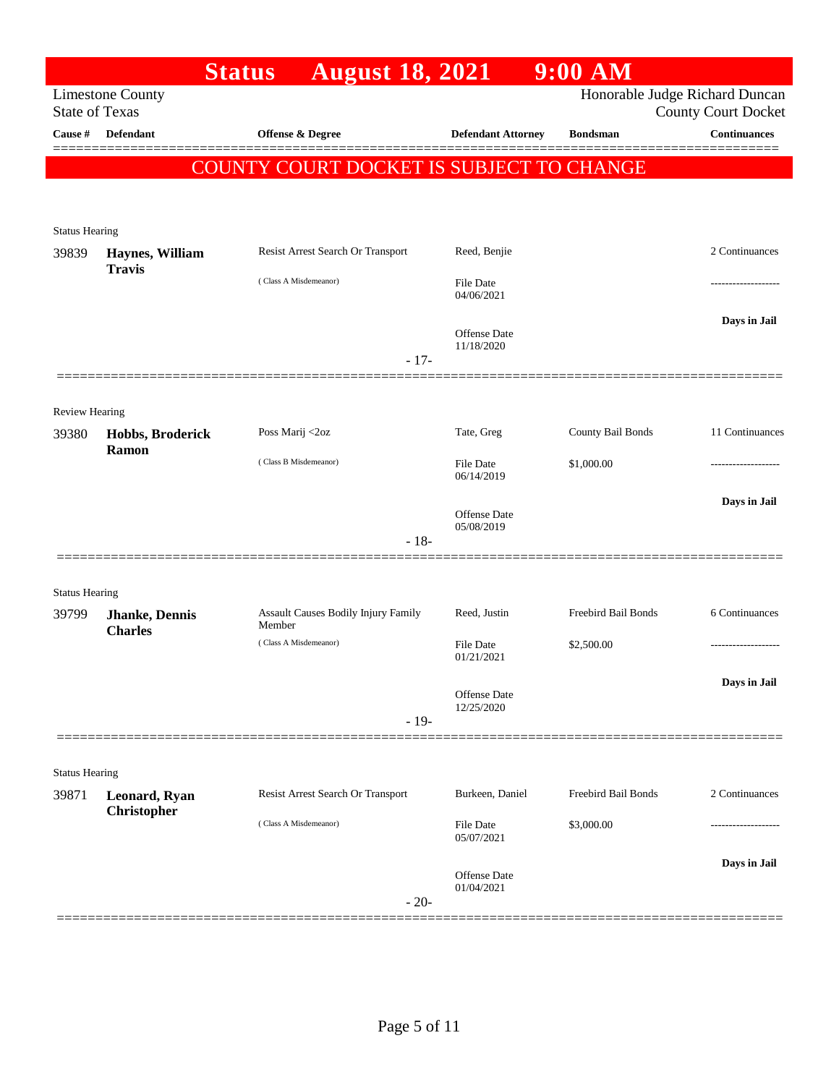|                                |                                  | <b>August 18, 2021</b><br><b>Status</b>       |                            | $9:00$ AM           |                                |
|--------------------------------|----------------------------------|-----------------------------------------------|----------------------------|---------------------|--------------------------------|
|                                | <b>Limestone County</b>          |                                               |                            |                     | Honorable Judge Richard Duncan |
| <b>State of Texas</b>          |                                  |                                               |                            |                     | <b>County Court Docket</b>     |
| Cause #                        | Defendant                        | Offense & Degree                              | <b>Defendant Attorney</b>  | <b>Bondsman</b>     | <b>Continuances</b>            |
|                                |                                  | COUNTY COURT DOCKET IS SUBJECT TO CHANGE      |                            |                     |                                |
|                                |                                  |                                               |                            |                     |                                |
|                                |                                  |                                               |                            |                     |                                |
| <b>Status Hearing</b><br>39839 |                                  | Resist Arrest Search Or Transport             | Reed, Benjie               |                     | 2 Continuances                 |
|                                | Haynes, William<br><b>Travis</b> |                                               |                            |                     |                                |
|                                |                                  | (Class A Misdemeanor)                         | File Date<br>04/06/2021    |                     |                                |
|                                |                                  |                                               |                            |                     | Days in Jail                   |
|                                |                                  |                                               | Offense Date<br>11/18/2020 |                     |                                |
|                                |                                  |                                               | $-17-$                     |                     |                                |
|                                |                                  |                                               |                            |                     |                                |
| <b>Review Hearing</b>          |                                  |                                               |                            |                     |                                |
| 39380                          | Hobbs, Broderick                 | Poss Marij <2oz                               | Tate, Greg                 | County Bail Bonds   | 11 Continuances                |
|                                | Ramon                            | (Class B Misdemeanor)                         | <b>File Date</b>           | \$1,000.00          |                                |
|                                |                                  |                                               | 06/14/2019                 |                     |                                |
|                                |                                  |                                               | Offense Date               |                     | Days in Jail                   |
|                                |                                  |                                               | 05/08/2019<br>$-18-$       |                     |                                |
|                                |                                  |                                               |                            |                     |                                |
|                                |                                  |                                               |                            |                     |                                |
| <b>Status Hearing</b>          |                                  |                                               | Reed, Justin               | Freebird Bail Bonds | 6 Continuances                 |
| 39799                          | Jhanke, Dennis<br><b>Charles</b> | Assault Causes Bodily Injury Family<br>Member |                            |                     |                                |
|                                |                                  | (Class A Misdemeanor)                         | File Date<br>01/21/2021    | \$2,500.00          |                                |
|                                |                                  |                                               |                            |                     | Days in Jail                   |
|                                |                                  |                                               | Offense Date<br>12/25/2020 |                     |                                |
|                                |                                  |                                               | $-19-$                     |                     |                                |
|                                |                                  |                                               |                            |                     |                                |
| <b>Status Hearing</b>          |                                  |                                               |                            |                     |                                |
| 39871                          | Leonard, Ryan                    | Resist Arrest Search Or Transport             | Burkeen, Daniel            | Freebird Bail Bonds | 2 Continuances                 |
|                                | Christopher                      | (Class A Misdemeanor)                         | <b>File Date</b>           | \$3,000.00          |                                |
|                                |                                  |                                               | 05/07/2021                 |                     |                                |
|                                |                                  |                                               | Offense Date               |                     | Days in Jail                   |
|                                |                                  |                                               | 01/04/2021                 |                     |                                |
|                                |                                  |                                               | $-20-$                     |                     |                                |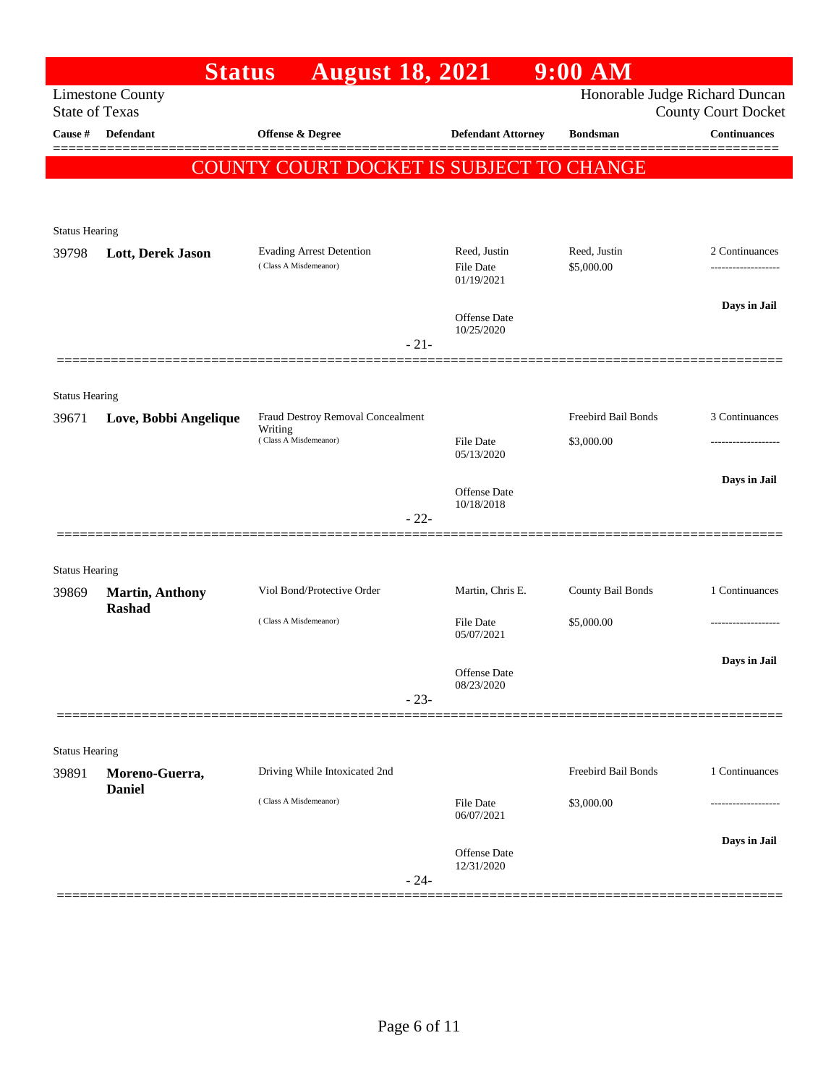|                       | <b>Status</b>                           | <b>August 18, 2021</b>                          |                                   | $9:00$ AM           |                                                              |
|-----------------------|-----------------------------------------|-------------------------------------------------|-----------------------------------|---------------------|--------------------------------------------------------------|
| <b>State of Texas</b> | <b>Limestone County</b>                 |                                                 |                                   |                     | Honorable Judge Richard Duncan<br><b>County Court Docket</b> |
| <b>Cause</b> #        | <b>Defendant</b>                        | Offense & Degree                                | <b>Defendant Attorney</b>         | <b>Bondsman</b>     | <b>Continuances</b>                                          |
|                       |                                         |                                                 |                                   |                     |                                                              |
|                       |                                         | <b>COUNTY COURT DOCKET IS SUBJECT TO CHANGE</b> |                                   |                     |                                                              |
|                       |                                         |                                                 |                                   |                     |                                                              |
| <b>Status Hearing</b> |                                         |                                                 |                                   |                     |                                                              |
| 39798                 | Lott, Derek Jason                       | <b>Evading Arrest Detention</b>                 | Reed, Justin                      | Reed, Justin        | 2 Continuances                                               |
|                       |                                         | (Class A Misdemeanor)                           | <b>File Date</b><br>01/19/2021    | \$5,000.00          |                                                              |
|                       |                                         |                                                 |                                   |                     | Days in Jail                                                 |
|                       |                                         |                                                 | Offense Date<br>10/25/2020        |                     |                                                              |
|                       |                                         |                                                 | $-21-$                            |                     |                                                              |
|                       |                                         |                                                 |                                   |                     |                                                              |
| <b>Status Hearing</b> |                                         |                                                 |                                   |                     |                                                              |
| 39671                 | Love, Bobbi Angelique                   | Fraud Destroy Removal Concealment<br>Writing    |                                   | Freebird Bail Bonds | 3 Continuances                                               |
|                       |                                         | (Class A Misdemeanor)                           | <b>File Date</b><br>05/13/2020    | \$3,000.00          |                                                              |
|                       |                                         |                                                 |                                   |                     | Days in Jail                                                 |
|                       |                                         |                                                 | <b>Offense Date</b><br>10/18/2018 |                     |                                                              |
|                       |                                         |                                                 | $-22-$                            |                     |                                                              |
|                       |                                         |                                                 |                                   |                     |                                                              |
| <b>Status Hearing</b> |                                         |                                                 |                                   |                     |                                                              |
| 39869                 | <b>Martin, Anthony</b><br><b>Rashad</b> | Viol Bond/Protective Order                      | Martin, Chris E.                  | County Bail Bonds   | 1 Continuances                                               |
|                       |                                         | (Class A Misdemeanor)                           | <b>File Date</b>                  | \$5,000.00          |                                                              |
|                       |                                         |                                                 | 05/07/2021                        |                     |                                                              |
|                       |                                         |                                                 | Offense Date                      |                     | Days in Jail                                                 |
|                       |                                         |                                                 | 08/23/2020<br>$-23-$              |                     |                                                              |
|                       |                                         |                                                 |                                   |                     |                                                              |
| <b>Status Hearing</b> |                                         |                                                 |                                   |                     |                                                              |
| 39891                 | Moreno-Guerra,                          | Driving While Intoxicated 2nd                   |                                   | Freebird Bail Bonds | 1 Continuances                                               |
|                       | <b>Daniel</b>                           | (Class A Misdemeanor)                           | File Date                         | \$3,000.00          |                                                              |
|                       |                                         |                                                 | 06/07/2021                        |                     |                                                              |
|                       |                                         |                                                 | Offense Date                      |                     | Days in Jail                                                 |
|                       |                                         |                                                 | 12/31/2020<br>$-24-$              |                     |                                                              |
|                       |                                         |                                                 |                                   |                     |                                                              |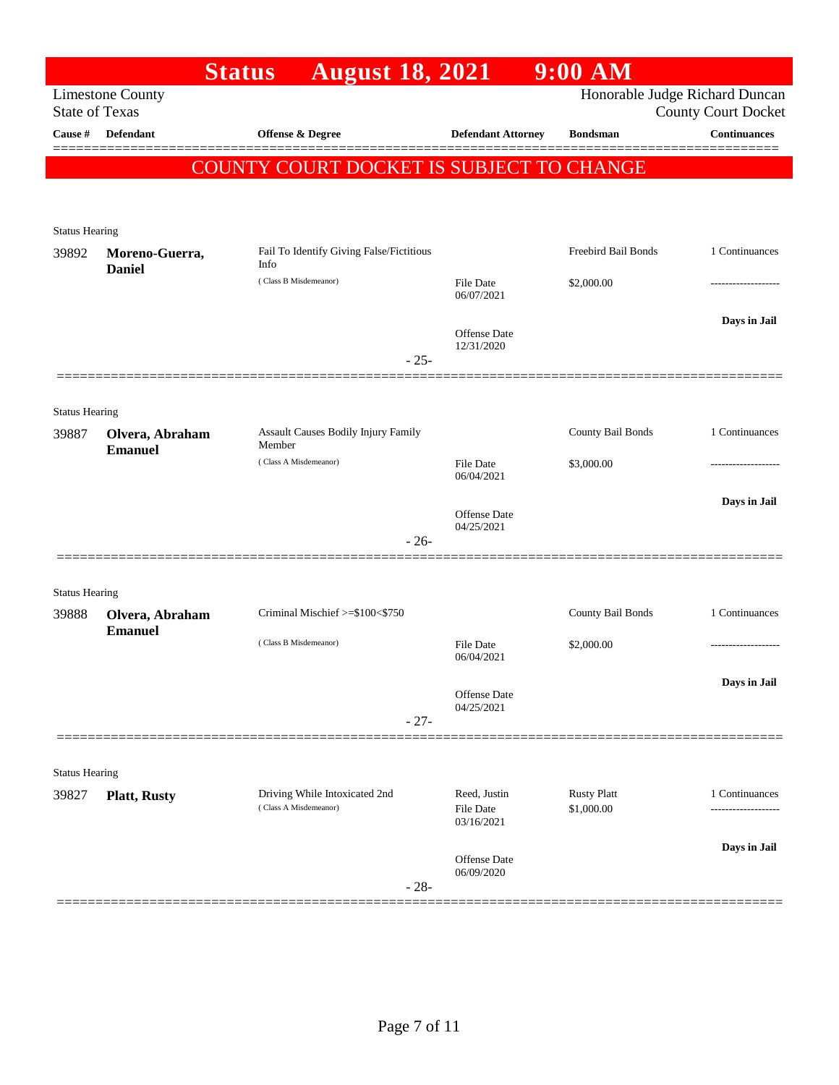|                       |                                   | <b>Status</b>               | <b>August 18, 2021</b>                   |                                         | $9:00$ AM                                |                                                              |
|-----------------------|-----------------------------------|-----------------------------|------------------------------------------|-----------------------------------------|------------------------------------------|--------------------------------------------------------------|
| <b>State of Texas</b> | <b>Limestone County</b>           |                             |                                          |                                         |                                          | Honorable Judge Richard Duncan<br><b>County Court Docket</b> |
| Cause #               | <b>Defendant</b>                  | <b>Offense &amp; Degree</b> |                                          | <b>Defendant Attorney</b>               | <b>Bondsman</b>                          | <b>Continuances</b>                                          |
|                       |                                   |                             |                                          |                                         | COUNTY COURT DOCKET IS SUBJECT TO CHANGE |                                                              |
|                       |                                   |                             |                                          |                                         |                                          |                                                              |
| <b>Status Hearing</b> |                                   |                             |                                          |                                         |                                          |                                                              |
| 39892                 | Moreno-Guerra,<br><b>Daniel</b>   | Info                        | Fail To Identify Giving False/Fictitious |                                         | Freebird Bail Bonds                      | 1 Continuances                                               |
|                       |                                   | (Class B Misdemeanor)       |                                          | File Date<br>06/07/2021                 | \$2,000.00                               |                                                              |
|                       |                                   |                             |                                          | Offense Date                            |                                          | Days in Jail                                                 |
|                       |                                   |                             | $-25-$                                   | 12/31/2020                              |                                          |                                                              |
|                       |                                   |                             |                                          |                                         |                                          |                                                              |
| <b>Status Hearing</b> |                                   |                             |                                          |                                         |                                          |                                                              |
| 39887                 | Olvera, Abraham<br><b>Emanuel</b> | Member                      | Assault Causes Bodily Injury Family      |                                         | County Bail Bonds                        | 1 Continuances                                               |
|                       |                                   | (Class A Misdemeanor)       |                                          | File Date<br>06/04/2021                 | \$3,000.00                               |                                                              |
|                       |                                   |                             |                                          | Offense Date                            |                                          | Days in Jail                                                 |
|                       |                                   |                             | $-26-$                                   | 04/25/2021                              |                                          |                                                              |
|                       |                                   |                             |                                          |                                         |                                          |                                                              |
| <b>Status Hearing</b> |                                   |                             |                                          |                                         |                                          |                                                              |
| 39888                 | Olvera, Abraham<br><b>Emanuel</b> |                             | Criminal Mischief >=\$100<\$750          |                                         | County Bail Bonds                        | 1 Continuances                                               |
|                       |                                   | (Class B Misdemeanor)       |                                          | File Date<br>06/04/2021                 | \$2,000.00                               |                                                              |
|                       |                                   |                             |                                          | Offense Date                            |                                          | Days in Jail                                                 |
|                       |                                   |                             | $-27-$                                   | 04/25/2021                              |                                          |                                                              |
|                       |                                   |                             |                                          |                                         |                                          |                                                              |
| <b>Status Hearing</b> |                                   |                             |                                          |                                         |                                          |                                                              |
| 39827                 | <b>Platt, Rusty</b>               | (Class A Misdemeanor)       | Driving While Intoxicated 2nd            | Reed, Justin<br>File Date<br>03/16/2021 | <b>Rusty Platt</b><br>\$1,000.00         | 1 Continuances                                               |
|                       |                                   |                             |                                          | <b>Offense</b> Date                     |                                          | Days in Jail                                                 |
|                       |                                   |                             | $-28-$                                   | 06/09/2020                              |                                          |                                                              |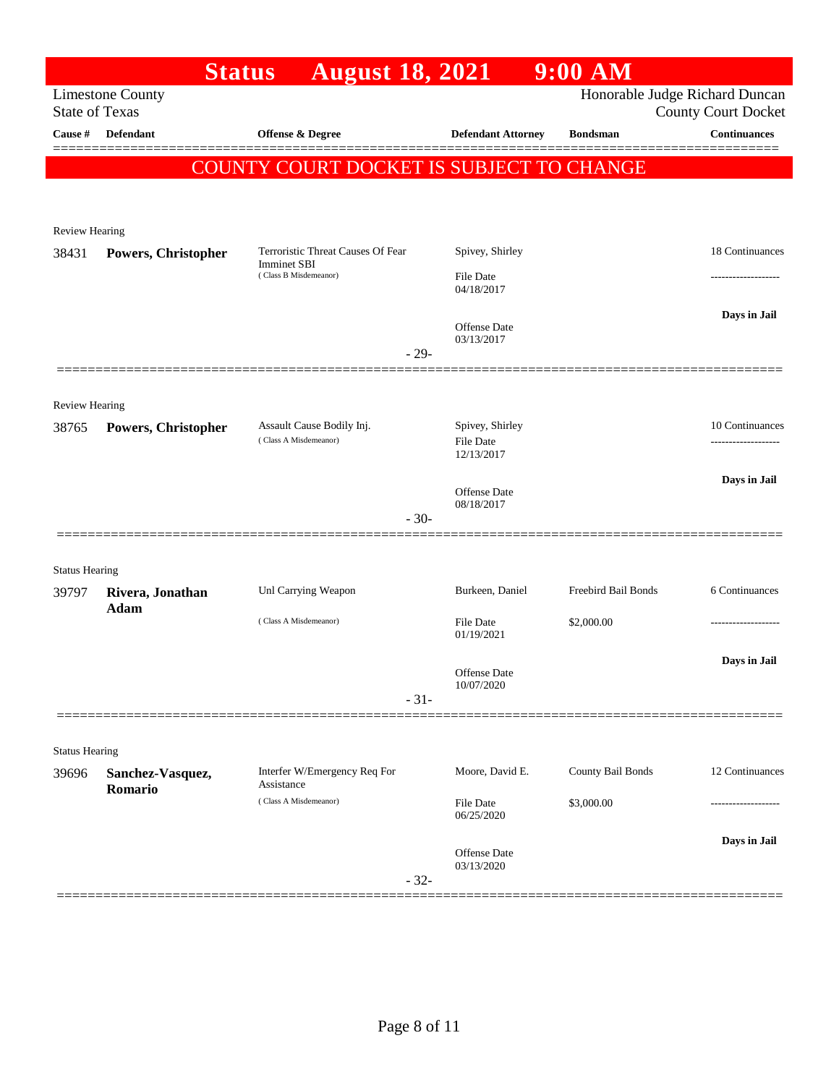|                       | <b>Status</b>           | <b>August 18, 2021</b>                                  |                                | 9:00 AM             |                                |
|-----------------------|-------------------------|---------------------------------------------------------|--------------------------------|---------------------|--------------------------------|
|                       | <b>Limestone County</b> |                                                         |                                |                     | Honorable Judge Richard Duncan |
| <b>State of Texas</b> |                         |                                                         |                                |                     | <b>County Court Docket</b>     |
| Cause #               | Defendant               | Offense & Degree                                        | <b>Defendant Attorney</b>      | <b>Bondsman</b>     | <b>Continuances</b><br>======= |
|                       |                         | COUNTY COURT DOCKET IS SUBJECT TO CHANGE                |                                |                     |                                |
|                       |                         |                                                         |                                |                     |                                |
|                       |                         |                                                         |                                |                     |                                |
| Review Hearing        |                         |                                                         |                                |                     |                                |
| 38431                 | Powers, Christopher     | Terroristic Threat Causes Of Fear<br><b>Imminet SBI</b> | Spivey, Shirley                |                     | 18 Continuances                |
|                       |                         | (Class B Misdemeanor)                                   | File Date<br>04/18/2017        |                     |                                |
|                       |                         |                                                         |                                |                     | Days in Jail                   |
|                       |                         |                                                         | <b>Offense</b> Date            |                     |                                |
|                       |                         | $-29-$                                                  | 03/13/2017                     |                     |                                |
|                       |                         |                                                         |                                |                     |                                |
| <b>Review Hearing</b> |                         |                                                         |                                |                     |                                |
| 38765                 | Powers, Christopher     | Assault Cause Bodily Inj.                               | Spivey, Shirley                |                     | 10 Continuances                |
|                       |                         | (Class A Misdemeanor)                                   | <b>File Date</b><br>12/13/2017 |                     |                                |
|                       |                         |                                                         |                                |                     |                                |
|                       |                         |                                                         | Offense Date                   |                     | Days in Jail                   |
|                       |                         | $-30-$                                                  | 08/18/2017                     |                     |                                |
|                       |                         |                                                         |                                |                     |                                |
| <b>Status Hearing</b> |                         |                                                         |                                |                     |                                |
| 39797                 | Rivera, Jonathan        | Unl Carrying Weapon                                     | Burkeen, Daniel                | Freebird Bail Bonds | 6 Continuances                 |
|                       | Adam                    | (Class A Misdemeanor)                                   |                                |                     |                                |
|                       |                         |                                                         | <b>File Date</b><br>01/19/2021 | \$2,000.00          |                                |
|                       |                         |                                                         |                                |                     | Days in Jail                   |
|                       |                         |                                                         | Offense Date<br>10/07/2020     |                     |                                |
|                       |                         | $-31-$                                                  |                                |                     |                                |
|                       |                         |                                                         |                                |                     |                                |
| <b>Status Hearing</b> |                         |                                                         |                                |                     |                                |
| 39696                 | Sanchez-Vasquez,        | Interfer W/Emergency Req For                            | Moore, David E.                | County Bail Bonds   | 12 Continuances                |
|                       | Romario                 | Assistance<br>(Class A Misdemeanor)                     | File Date                      | \$3,000.00          |                                |
|                       |                         |                                                         | 06/25/2020                     |                     |                                |
|                       |                         |                                                         |                                |                     | Days in Jail                   |
|                       |                         |                                                         | Offense Date<br>03/13/2020     |                     |                                |
|                       |                         | $-32-$                                                  |                                |                     |                                |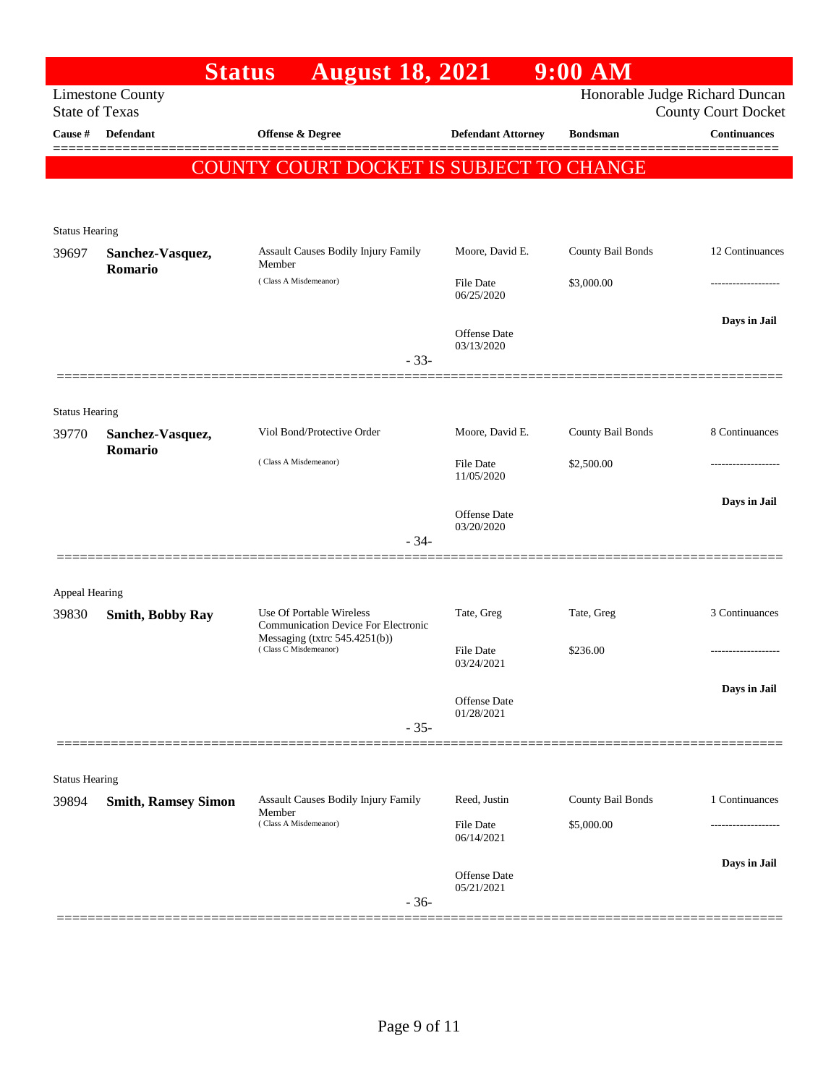|                                | <b>Status</b>               | <b>August 18, 2021</b>                                                 |                                   | 9:00 AM           |                                                              |
|--------------------------------|-----------------------------|------------------------------------------------------------------------|-----------------------------------|-------------------|--------------------------------------------------------------|
| <b>State of Texas</b>          | <b>Limestone County</b>     |                                                                        |                                   |                   | Honorable Judge Richard Duncan<br><b>County Court Docket</b> |
| Cause #                        | <b>Defendant</b>            | Offense & Degree                                                       | <b>Defendant Attorney</b>         | <b>Bondsman</b>   | <b>Continuances</b>                                          |
|                                |                             | COUNTY COURT DOCKET IS SUBJECT TO CHANGE                               |                                   |                   |                                                              |
|                                |                             |                                                                        |                                   |                   |                                                              |
| <b>Status Hearing</b>          |                             |                                                                        |                                   |                   |                                                              |
| 39697                          | Sanchez-Vasquez,<br>Romario | Assault Causes Bodily Injury Family<br>Member                          | Moore, David E.                   | County Bail Bonds | 12 Continuances                                              |
|                                |                             | (Class A Misdemeanor)                                                  | File Date<br>06/25/2020           | \$3,000.00        |                                                              |
|                                |                             |                                                                        | Offense Date<br>03/13/2020        |                   | Days in Jail                                                 |
|                                |                             | $-33-$                                                                 |                                   |                   |                                                              |
|                                |                             |                                                                        |                                   |                   |                                                              |
| <b>Status Hearing</b><br>39770 | Sanchez-Vasquez,<br>Romario | Viol Bond/Protective Order                                             | Moore, David E.                   | County Bail Bonds | 8 Continuances                                               |
|                                |                             | (Class A Misdemeanor)                                                  | File Date<br>11/05/2020           | \$2,500.00        |                                                              |
|                                |                             |                                                                        | Offense Date<br>03/20/2020        |                   | Days in Jail                                                 |
|                                |                             | $-34-$                                                                 |                                   |                   |                                                              |
| <b>Appeal Hearing</b>          |                             |                                                                        |                                   |                   |                                                              |
| 39830                          | <b>Smith, Bobby Ray</b>     | Use Of Portable Wireless<br><b>Communication Device For Electronic</b> | Tate, Greg                        | Tate, Greg        | 3 Continuances                                               |
|                                |                             | Messaging (txtrc $545.4251(b)$ )<br>(Class C Misdemeanor)              | File Date<br>03/24/2021           | \$236.00          | .                                                            |
|                                |                             |                                                                        | Offense Date                      |                   | Days in Jail                                                 |
|                                |                             | $-35-$                                                                 | 01/28/2021                        |                   |                                                              |
|                                |                             |                                                                        |                                   |                   |                                                              |
| <b>Status Hearing</b><br>39894 | <b>Smith, Ramsey Simon</b>  | Assault Causes Bodily Injury Family                                    | Reed, Justin                      | County Bail Bonds | 1 Continuances                                               |
|                                |                             | Member<br>(Class A Misdemeanor)                                        | File Date<br>06/14/2021           | \$5,000.00        |                                                              |
|                                |                             |                                                                        | <b>Offense</b> Date<br>05/21/2021 |                   | Days in Jail                                                 |
|                                |                             | $-36-$                                                                 |                                   |                   |                                                              |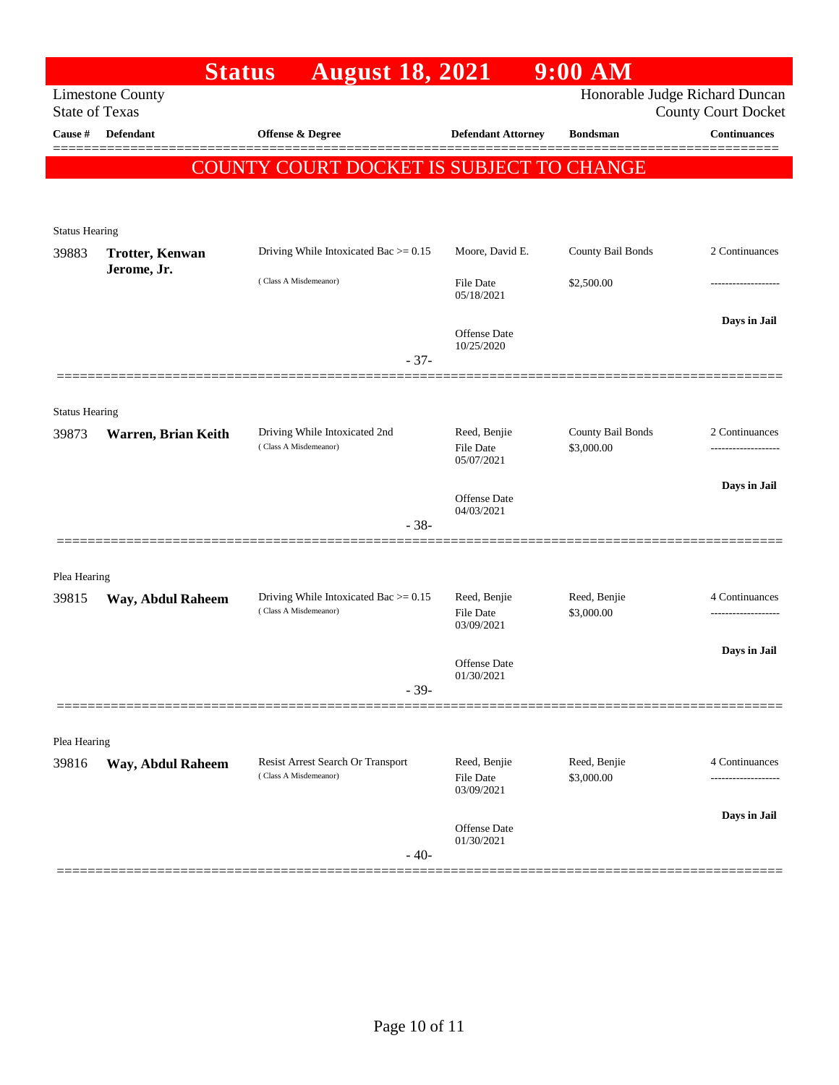|                       | <b>Status</b>           | <b>August 18, 2021</b>                                            |                                                | $9:00$ AM                       |                                                   |
|-----------------------|-------------------------|-------------------------------------------------------------------|------------------------------------------------|---------------------------------|---------------------------------------------------|
| <b>State of Texas</b> | <b>Limestone County</b> |                                                                   |                                                |                                 | Honorable Judge Richard Duncan                    |
| Cause $\#$            | <b>Defendant</b>        | <b>Offense &amp; Degree</b>                                       | <b>Defendant Attorney</b>                      | <b>Bondsman</b>                 | <b>County Court Docket</b><br><b>Continuances</b> |
|                       |                         |                                                                   |                                                |                                 |                                                   |
|                       |                         | COUNTY COURT DOCKET IS SUBJECT TO CHANGE                          |                                                |                                 |                                                   |
|                       |                         |                                                                   |                                                |                                 |                                                   |
| <b>Status Hearing</b> |                         |                                                                   |                                                |                                 |                                                   |
| 39883                 | <b>Trotter, Kenwan</b>  | Driving While Intoxicated Bac $\ge$ = 0.15                        | Moore, David E.                                | County Bail Bonds               | 2 Continuances                                    |
|                       | Jerome, Jr.             | (Class A Misdemeanor)                                             | File Date<br>05/18/2021                        | \$2,500.00                      | -----------------                                 |
|                       |                         |                                                                   |                                                |                                 | Days in Jail                                      |
|                       |                         |                                                                   | <b>Offense Date</b><br>10/25/2020              |                                 |                                                   |
|                       |                         | $-37-$                                                            |                                                |                                 |                                                   |
|                       |                         |                                                                   |                                                |                                 |                                                   |
| <b>Status Hearing</b> |                         |                                                                   |                                                |                                 |                                                   |
| 39873                 | Warren, Brian Keith     | Driving While Intoxicated 2nd<br>(Class A Misdemeanor)            | Reed, Benjie<br><b>File Date</b><br>05/07/2021 | County Bail Bonds<br>\$3,000.00 | 2 Continuances                                    |
|                       |                         |                                                                   |                                                |                                 | Days in Jail                                      |
|                       |                         |                                                                   | <b>Offense Date</b><br>04/03/2021              |                                 |                                                   |
|                       |                         | $-38-$                                                            |                                                |                                 |                                                   |
|                       |                         |                                                                   |                                                |                                 |                                                   |
| Plea Hearing          |                         |                                                                   |                                                |                                 |                                                   |
| 39815                 | Way, Abdul Raheem       | Driving While Intoxicated Bac $> = 0.15$<br>(Class A Misdemeanor) | Reed, Benjie<br><b>File Date</b><br>03/09/2021 | Reed, Benjie<br>\$3,000.00      | 4 Continuances                                    |
|                       |                         |                                                                   |                                                |                                 | Days in Jail                                      |
|                       |                         |                                                                   | Offense Date<br>01/30/2021                     |                                 |                                                   |
|                       |                         | $-39-$                                                            |                                                |                                 |                                                   |
|                       |                         |                                                                   |                                                |                                 |                                                   |
| Plea Hearing          |                         |                                                                   |                                                |                                 |                                                   |
| 39816                 | Way, Abdul Raheem       | Resist Arrest Search Or Transport<br>(Class A Misdemeanor)        | Reed, Benjie<br><b>File Date</b><br>03/09/2021 | Reed, Benjie<br>\$3,000.00      | 4 Continuances                                    |
|                       |                         |                                                                   |                                                |                                 | Days in Jail                                      |
|                       |                         | $-40-$                                                            | Offense Date<br>01/30/2021                     |                                 |                                                   |
|                       |                         |                                                                   |                                                |                                 |                                                   |